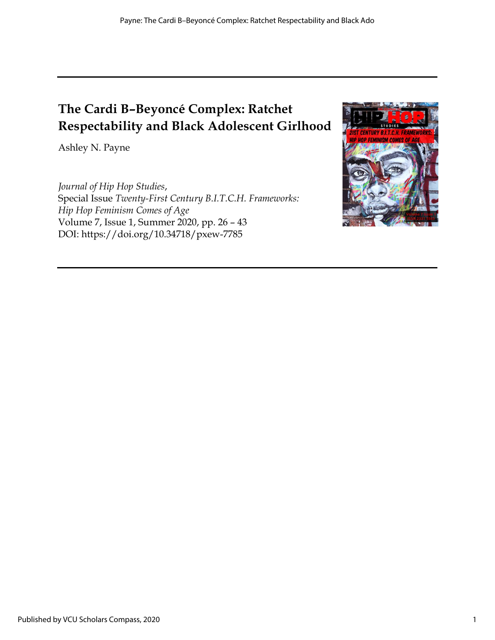# The Cardi B–Beyoncé Complex: Ratchet Respectability and Black Adolescent Girlhood

Ashley N. Payne

Journal of Hip Hop Studies, Special Issue Twenty-First Century B.I.T.C.H. Frameworks: Hip Hop Feminism Comes of Age Volume 7, Issue 1, Summer 2020, pp. 26 – 43 DOI: https://doi.org/10.34718/pxew-7785

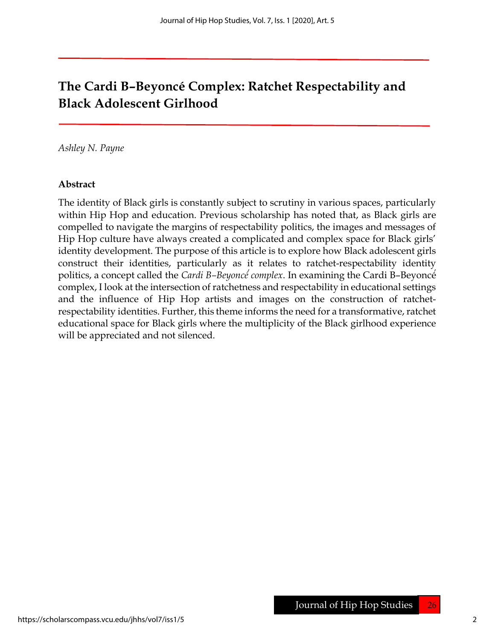## The Cardi B–Beyoncé Complex: Ratchet Respectability and Black Adolescent Girlhood

Ashley N. Payne

#### Abstract

The identity of Black girls is constantly subject to scrutiny in various spaces, particularly within Hip Hop and education. Previous scholarship has noted that, as Black girls are compelled to navigate the margins of respectability politics, the images and messages of Hip Hop culture have always created a complicated and complex space for Black girls' identity development. The purpose of this article is to explore how Black adolescent girls construct their identities, particularly as it relates to ratchet-respectability identity politics, a concept called the *Cardi B-Beyoncé complex*. In examining the Cardi B-Beyoncé<sup></sup> complex, I look at the intersection of ratchetness and respectability in educational settings and the influence of Hip Hop artists and images on the construction of ratchetrespectability identities. Further, this theme informs the need for a transformative, ratchet educational space for Black girls where the multiplicity of the Black girlhood experience will be appreciated and not silenced.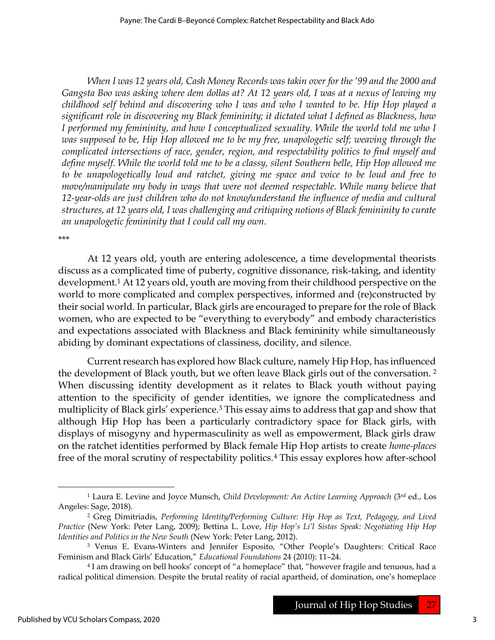When I was 12 years old, Cash Money Records was takin over for the '99 and the 2000 and Gangsta Boo was asking where dem dollas at? At 12 years old, I was at a nexus of leaving my childhood self behind and discovering who I was and who I wanted to be. Hip Hop played a significant role in discovering my Black femininity; it dictated what I defined as Blackness, how I performed my femininity, and how I conceptualized sexuality. While the world told me who I was supposed to be, Hip Hop allowed me to be my free, unapologetic self; weaving through the complicated intersections of race, gender, region, and respectability politics to find myself and define myself. While the world told me to be a classy, silent Southern belle, Hip Hop allowed me to be unapologetically loud and ratchet, giving me space and voice to be loud and free to move/manipulate my body in ways that were not deemed respectable. While many believe that 12-year-olds are just children who do not know/understand the influence of media and cultural structures, at 12 years old, I was challenging and critiquing notions of Black femininity to curate an unapologetic femininity that I could call my own.

\*\*\*

At 12 years old, youth are entering adolescence, a time developmental theorists discuss as a complicated time of puberty, cognitive dissonance, risk-taking, and identity development.1 At 12 years old, youth are moving from their childhood perspective on the world to more complicated and complex perspectives, informed and (re)constructed by their social world. In particular, Black girls are encouraged to prepare for the role of Black women, who are expected to be "everything to everybody" and embody characteristics and expectations associated with Blackness and Black femininity while simultaneously abiding by dominant expectations of classiness, docility, and silence.

Current research has explored how Black culture, namely Hip Hop, has influenced the development of Black youth, but we often leave Black girls out of the conversation.<sup>2</sup> When discussing identity development as it relates to Black youth without paying attention to the specificity of gender identities, we ignore the complicatedness and multiplicity of Black girls' experience.<sup>3</sup> This essay aims to address that gap and show that although Hip Hop has been a particularly contradictory space for Black girls, with displays of misogyny and hypermasculinity as well as empowerment, Black girls draw on the ratchet identities performed by Black female Hip Hop artists to create home-places free of the moral scrutiny of respectability politics.4 This essay explores how after-school

<sup>&</sup>lt;sup>1</sup> Laura E. Levine and Joyce Munsch, Child Development: An Active Learning Approach (3<sup>rd</sup> ed., Los Angeles: Sage, 2018).

<sup>2</sup> Greg Dimitriadis, Performing Identity/Performing Culture: Hip Hop as Text, Pedagogy, and Lived Practice (New York: Peter Lang, 2009); Bettina L. Love, Hip Hop's Li'l Sistas Speak: Negotiating Hip Hop Identities and Politics in the New South (New York: Peter Lang, 2012).

<sup>3</sup> Venus E. Evans-Winters and Jennifer Esposito, "Other People's Daughters: Critical Race Feminism and Black Girls' Education," Educational Foundations 24 (2010): 11–24.

<sup>4</sup> I am drawing on bell hooks' concept of "a homeplace" that, "however fragile and tenuous, had a radical political dimension. Despite the brutal reality of racial apartheid, of domination, one's homeplace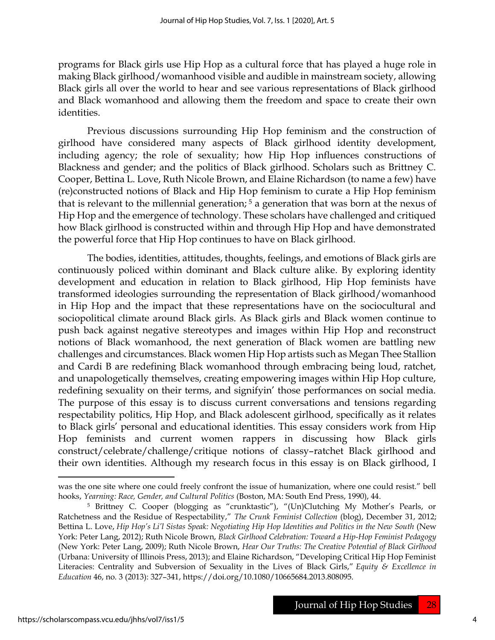programs for Black girls use Hip Hop as a cultural force that has played a huge role in making Black girlhood/womanhood visible and audible in mainstream society, allowing Black girls all over the world to hear and see various representations of Black girlhood and Black womanhood and allowing them the freedom and space to create their own identities.

Previous discussions surrounding Hip Hop feminism and the construction of girlhood have considered many aspects of Black girlhood identity development, including agency; the role of sexuality; how Hip Hop influences constructions of Blackness and gender; and the politics of Black girlhood. Scholars such as Brittney C. Cooper, Bettina L. Love, Ruth Nicole Brown, and Elaine Richardson (to name a few) have (re)constructed notions of Black and Hip Hop feminism to curate a Hip Hop feminism that is relevant to the millennial generation; 5 a generation that was born at the nexus of Hip Hop and the emergence of technology. These scholars have challenged and critiqued how Black girlhood is constructed within and through Hip Hop and have demonstrated the powerful force that Hip Hop continues to have on Black girlhood.

The bodies, identities, attitudes, thoughts, feelings, and emotions of Black girls are continuously policed within dominant and Black culture alike. By exploring identity development and education in relation to Black girlhood, Hip Hop feminists have transformed ideologies surrounding the representation of Black girlhood/womanhood in Hip Hop and the impact that these representations have on the sociocultural and sociopolitical climate around Black girls. As Black girls and Black women continue to push back against negative stereotypes and images within Hip Hop and reconstruct notions of Black womanhood, the next generation of Black women are battling new challenges and circumstances. Black women Hip Hop artists such as Megan Thee Stallion and Cardi B are redefining Black womanhood through embracing being loud, ratchet, and unapologetically themselves, creating empowering images within Hip Hop culture, redefining sexuality on their terms, and signifyin' those performances on social media. The purpose of this essay is to discuss current conversations and tensions regarding respectability politics, Hip Hop, and Black adolescent girlhood, specifically as it relates to Black girls' personal and educational identities. This essay considers work from Hip Hop feminists and current women rappers in discussing how Black girls construct/celebrate/challenge/critique notions of classy–ratchet Black girlhood and their own identities. Although my research focus in this essay is on Black girlhood, I

was the one site where one could freely confront the issue of humanization, where one could resist." bell hooks, Yearning: Race, Gender, and Cultural Politics (Boston, MA: South End Press, 1990), 44.

<sup>5</sup> Brittney C. Cooper (blogging as "crunktastic"), "(Un)Clutching My Mother's Pearls, or Ratchetness and the Residue of Respectability," The Crunk Feminist Collection (blog), December 31, 2012; Bettina L. Love, Hip Hop's Li'l Sistas Speak: Negotiating Hip Hop Identities and Politics in the New South (New York: Peter Lang, 2012); Ruth Nicole Brown, Black Girlhood Celebration: Toward a Hip-Hop Feminist Pedagogy (New York: Peter Lang, 2009); Ruth Nicole Brown, Hear Our Truths: The Creative Potential of Black Girlhood (Urbana: University of Illinois Press, 2013); and Elaine Richardson, "Developing Critical Hip Hop Feminist Literacies: Centrality and Subversion of Sexuality in the Lives of Black Girls," Equity & Excellence in Education 46, no. 3 (2013): 327–341, https://doi.org/10.1080/10665684.2013.808095.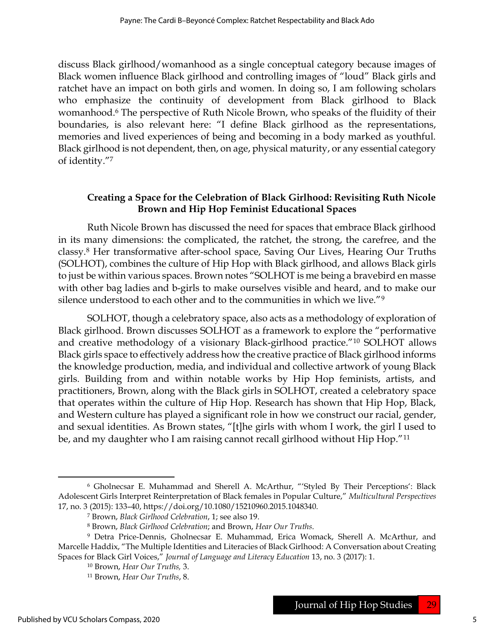discuss Black girlhood/womanhood as a single conceptual category because images of Black women influence Black girlhood and controlling images of "loud" Black girls and ratchet have an impact on both girls and women. In doing so, I am following scholars who emphasize the continuity of development from Black girlhood to Black womanhood.6 The perspective of Ruth Nicole Brown, who speaks of the fluidity of their boundaries, is also relevant here: "I define Black girlhood as the representations, memories and lived experiences of being and becoming in a body marked as youthful. Black girlhood is not dependent, then, on age, physical maturity, or any essential category of identity."<sup>7</sup>

## Creating a Space for the Celebration of Black Girlhood: Revisiting Ruth Nicole Brown and Hip Hop Feminist Educational Spaces

Ruth Nicole Brown has discussed the need for spaces that embrace Black girlhood in its many dimensions: the complicated, the ratchet, the strong, the carefree, and the classy.8 Her transformative after-school space, Saving Our Lives, Hearing Our Truths (SOLHOT), combines the culture of Hip Hop with Black girlhood, and allows Black girls to just be within various spaces. Brown notes "SOLHOT is me being a bravebird en masse with other bag ladies and b-girls to make ourselves visible and heard, and to make our silence understood to each other and to the communities in which we live."<sup>9</sup>

SOLHOT, though a celebratory space, also acts as a methodology of exploration of Black girlhood. Brown discusses SOLHOT as a framework to explore the "performative and creative methodology of a visionary Black-girlhood practice."10 SOLHOT allows Black girls space to effectively address how the creative practice of Black girlhood informs the knowledge production, media, and individual and collective artwork of young Black girls. Building from and within notable works by Hip Hop feminists, artists, and practitioners, Brown, along with the Black girls in SOLHOT, created a celebratory space that operates within the culture of Hip Hop. Research has shown that Hip Hop, Black, and Western culture has played a significant role in how we construct our racial, gender, and sexual identities. As Brown states, "[t]he girls with whom I work, the girl I used to be, and my daughter who I am raising cannot recall girlhood without Hip Hop."<sup>11</sup>

<sup>6</sup> Gholnecsar E. Muhammad and Sherell A. McArthur, "'Styled By Their Perceptions': Black Adolescent Girls Interpret Reinterpretation of Black females in Popular Culture," Multicultural Perspectives 17, no. 3 (2015): 133–40, https://doi.org/10.1080/15210960.2015.1048340.

<sup>7</sup> Brown, Black Girlhood Celebration, 1; see also 19.

<sup>8</sup> Brown, Black Girlhood Celebration; and Brown, Hear Our Truths.

<sup>9</sup> Detra Price-Dennis, Gholnecsar E. Muhammad, Erica Womack, Sherell A. McArthur, and Marcelle Haddix, "The Multiple Identities and Literacies of Black Girlhood: A Conversation about Creating Spaces for Black Girl Voices," Journal of Language and Literacy Education 13, no. 3 (2017): 1.

<sup>10</sup> Brown, Hear Our Truths, 3.

<sup>11</sup> Brown, Hear Our Truths, 8.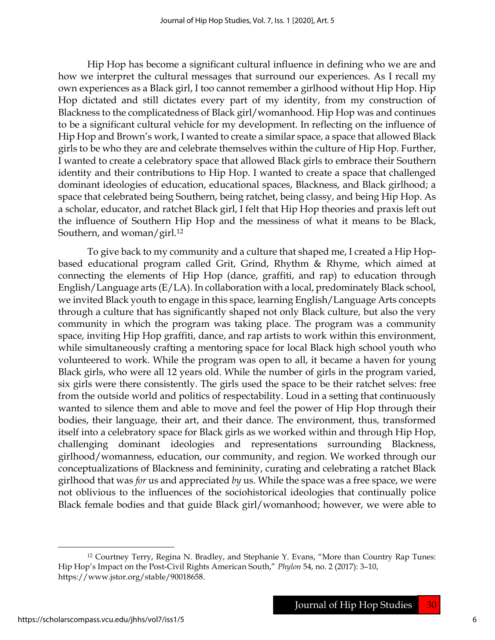Hip Hop has become a significant cultural influence in defining who we are and how we interpret the cultural messages that surround our experiences. As I recall my own experiences as a Black girl, I too cannot remember a girlhood without Hip Hop. Hip Hop dictated and still dictates every part of my identity, from my construction of Blackness to the complicatedness of Black girl/womanhood. Hip Hop was and continues to be a significant cultural vehicle for my development. In reflecting on the influence of Hip Hop and Brown's work, I wanted to create a similar space, a space that allowed Black girls to be who they are and celebrate themselves within the culture of Hip Hop. Further, I wanted to create a celebratory space that allowed Black girls to embrace their Southern identity and their contributions to Hip Hop. I wanted to create a space that challenged dominant ideologies of education, educational spaces, Blackness, and Black girlhood; a space that celebrated being Southern, being ratchet, being classy, and being Hip Hop. As a scholar, educator, and ratchet Black girl, I felt that Hip Hop theories and praxis left out the influence of Southern Hip Hop and the messiness of what it means to be Black, Southern, and woman/girl.<sup>12</sup>

To give back to my community and a culture that shaped me, I created a Hip Hopbased educational program called Grit, Grind, Rhythm & Rhyme, which aimed at connecting the elements of Hip Hop (dance, graffiti, and rap) to education through English/Language arts (E/LA). In collaboration with a local, predominately Black school, we invited Black youth to engage in this space, learning English/Language Arts concepts through a culture that has significantly shaped not only Black culture, but also the very community in which the program was taking place. The program was a community space, inviting Hip Hop graffiti, dance, and rap artists to work within this environment, while simultaneously crafting a mentoring space for local Black high school youth who volunteered to work. While the program was open to all, it became a haven for young Black girls, who were all 12 years old. While the number of girls in the program varied, six girls were there consistently. The girls used the space to be their ratchet selves: free from the outside world and politics of respectability. Loud in a setting that continuously wanted to silence them and able to move and feel the power of Hip Hop through their bodies, their language, their art, and their dance. The environment, thus, transformed itself into a celebratory space for Black girls as we worked within and through Hip Hop, challenging dominant ideologies and representations surrounding Blackness, girlhood/womanness, education, our community, and region. We worked through our conceptualizations of Blackness and femininity, curating and celebrating a ratchet Black girlhood that was for us and appreciated by us. While the space was a free space, we were not oblivious to the influences of the sociohistorical ideologies that continually police Black female bodies and that guide Black girl/womanhood; however, we were able to

<sup>12</sup> Courtney Terry, Regina N. Bradley, and Stephanie Y. Evans, "More than Country Rap Tunes: Hip Hop's Impact on the Post-Civil Rights American South," Phylon 54, no. 2 (2017): 3–10, https://www.jstor.org/stable/90018658.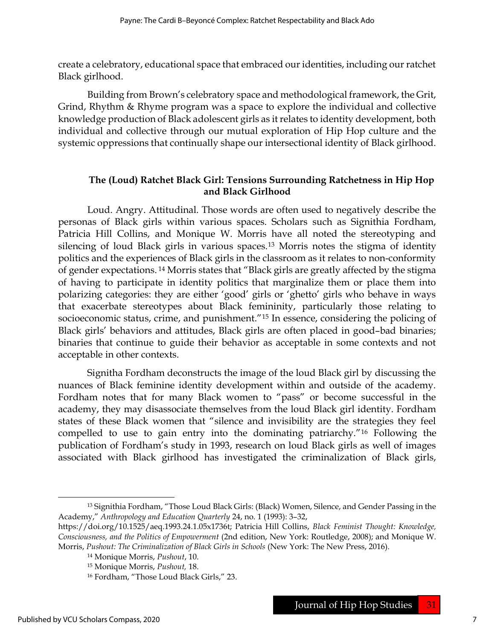create a celebratory, educational space that embraced our identities, including our ratchet Black girlhood.

Building from Brown's celebratory space and methodological framework, the Grit, Grind, Rhythm & Rhyme program was a space to explore the individual and collective knowledge production of Black adolescent girls as it relates to identity development, both individual and collective through our mutual exploration of Hip Hop culture and the systemic oppressions that continually shape our intersectional identity of Black girlhood.

### The (Loud) Ratchet Black Girl: Tensions Surrounding Ratchetness in Hip Hop and Black Girlhood

Loud. Angry. Attitudinal. Those words are often used to negatively describe the personas of Black girls within various spaces. Scholars such as Signithia Fordham, Patricia Hill Collins, and Monique W. Morris have all noted the stereotyping and silencing of loud Black girls in various spaces.13 Morris notes the stigma of identity politics and the experiences of Black girls in the classroom as it relates to non-conformity of gender expectations. 14 Morris states that "Black girls are greatly affected by the stigma of having to participate in identity politics that marginalize them or place them into polarizing categories: they are either 'good' girls or 'ghetto' girls who behave in ways that exacerbate stereotypes about Black femininity, particularly those relating to socioeconomic status, crime, and punishment."15 In essence, considering the policing of Black girls' behaviors and attitudes, Black girls are often placed in good–bad binaries; binaries that continue to guide their behavior as acceptable in some contexts and not acceptable in other contexts.

Signitha Fordham deconstructs the image of the loud Black girl by discussing the nuances of Black feminine identity development within and outside of the academy. Fordham notes that for many Black women to "pass" or become successful in the academy, they may disassociate themselves from the loud Black girl identity. Fordham states of these Black women that "silence and invisibility are the strategies they feel compelled to use to gain entry into the dominating patriarchy."16 Following the publication of Fordham's study in 1993, research on loud Black girls as well of images associated with Black girlhood has investigated the criminalization of Black girls,

<sup>13</sup> Signithia Fordham, "Those Loud Black Girls: (Black) Women, Silence, and Gender Passing in the Academy," Anthropology and Education Quarterly 24, no. 1 (1993): 3–32,

https://doi.org/10.1525/aeq.1993.24.1.05x1736t; Patricia Hill Collins, Black Feminist Thought: Knowledge, Consciousness, and the Politics of Empowerment (2nd edition, New York: Routledge, 2008); and Monique W. Morris, Pushout: The Criminalization of Black Girls in Schools (New York: The New Press, 2016).

<sup>14</sup> Monique Morris, Pushout, 10.

<sup>15</sup> Monique Morris, Pushout, 18.

<sup>16</sup> Fordham, "Those Loud Black Girls," 23.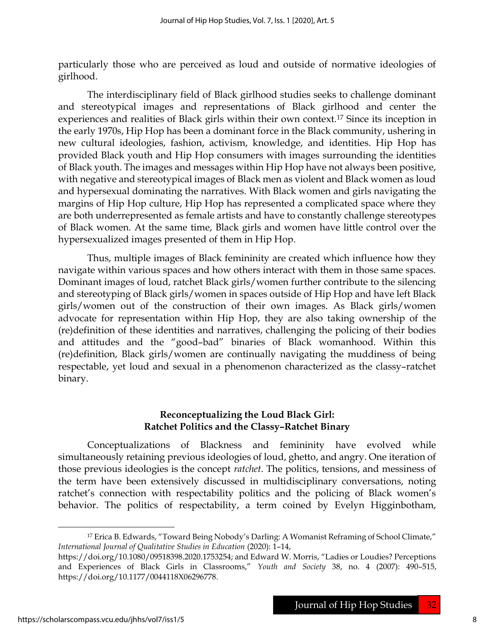particularly those who are perceived as loud and outside of normative ideologies of girlhood.

The interdisciplinary field of Black girlhood studies seeks to challenge dominant and stereotypical images and representations of Black girlhood and center the experiences and realities of Black girls within their own context.17 Since its inception in the early 1970s, Hip Hop has been a dominant force in the Black community, ushering in new cultural ideologies, fashion, activism, knowledge, and identities. Hip Hop has provided Black youth and Hip Hop consumers with images surrounding the identities of Black youth. The images and messages within Hip Hop have not always been positive, with negative and stereotypical images of Black men as violent and Black women as loud and hypersexual dominating the narratives. With Black women and girls navigating the margins of Hip Hop culture, Hip Hop has represented a complicated space where they are both underrepresented as female artists and have to constantly challenge stereotypes of Black women. At the same time, Black girls and women have little control over the hypersexualized images presented of them in Hip Hop.

Thus, multiple images of Black femininity are created which influence how they navigate within various spaces and how others interact with them in those same spaces. Dominant images of loud, ratchet Black girls/women further contribute to the silencing and stereotyping of Black girls/women in spaces outside of Hip Hop and have left Black girls/women out of the construction of their own images. As Black girls/women advocate for representation within Hip Hop, they are also taking ownership of the (re)definition of these identities and narratives, challenging the policing of their bodies and attitudes and the "good–bad" binaries of Black womanhood. Within this (re)definition, Black girls/women are continually navigating the muddiness of being respectable, yet loud and sexual in a phenomenon characterized as the classy–ratchet binary.

## Reconceptualizing the Loud Black Girl: Ratchet Politics and the Classy–Ratchet Binary

Conceptualizations of Blackness and femininity have evolved while simultaneously retaining previous ideologies of loud, ghetto, and angry. One iteration of those previous ideologies is the concept ratchet. The politics, tensions, and messiness of the term have been extensively discussed in multidisciplinary conversations, noting ratchet's connection with respectability politics and the policing of Black women's behavior. The politics of respectability, a term coined by Evelyn Higginbotham,

<sup>&</sup>lt;sup>17</sup> Erica B. Edwards, "Toward Being Nobody's Darling: A Womanist Reframing of School Climate," International Journal of Qualitative Studies in Education (2020): 1–14,

https://doi.org/10.1080/09518398.2020.1753254; and Edward W. Morris, "Ladies or Loudies? Perceptions and Experiences of Black Girls in Classrooms," Youth and Society 38, no. 4 (2007): 490–515, https://doi.org/10.1177/0044118X06296778.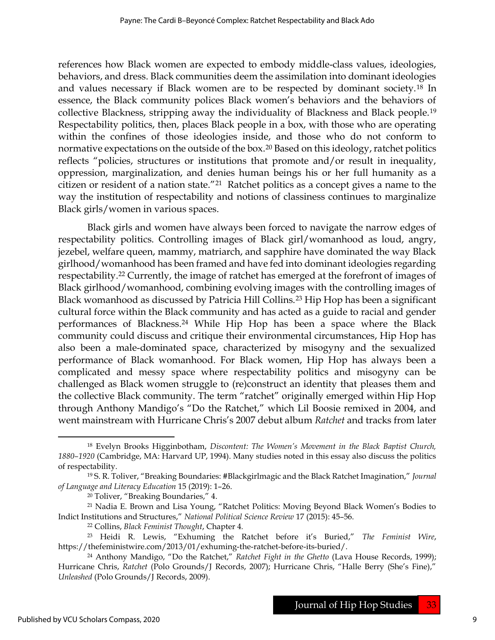references how Black women are expected to embody middle-class values, ideologies, behaviors, and dress. Black communities deem the assimilation into dominant ideologies and values necessary if Black women are to be respected by dominant society.18 In essence, the Black community polices Black women's behaviors and the behaviors of collective Blackness, stripping away the individuality of Blackness and Black people.<sup>19</sup> Respectability politics, then, places Black people in a box, with those who are operating within the confines of those ideologies inside, and those who do not conform to normative expectations on the outside of the box.<sup>20</sup> Based on this ideology, ratchet politics reflects "policies, structures or institutions that promote and/or result in inequality, oppression, marginalization, and denies human beings his or her full humanity as a citizen or resident of a nation state."21 Ratchet politics as a concept gives a name to the way the institution of respectability and notions of classiness continues to marginalize Black girls/women in various spaces.

Black girls and women have always been forced to navigate the narrow edges of respectability politics. Controlling images of Black girl/womanhood as loud, angry, jezebel, welfare queen, mammy, matriarch, and sapphire have dominated the way Black girlhood/womanhood has been framed and have fed into dominant ideologies regarding respectability.22 Currently, the image of ratchet has emerged at the forefront of images of Black girlhood/womanhood, combining evolving images with the controlling images of Black womanhood as discussed by Patricia Hill Collins.23 Hip Hop has been a significant cultural force within the Black community and has acted as a guide to racial and gender performances of Blackness.24 While Hip Hop has been a space where the Black community could discuss and critique their environmental circumstances, Hip Hop has also been a male-dominated space, characterized by misogyny and the sexualized performance of Black womanhood. For Black women, Hip Hop has always been a complicated and messy space where respectability politics and misogyny can be challenged as Black women struggle to (re)construct an identity that pleases them and the collective Black community. The term "ratchet" originally emerged within Hip Hop through Anthony Mandigo's "Do the Ratchet," which Lil Boosie remixed in 2004, and went mainstream with Hurricane Chris's 2007 debut album Ratchet and tracks from later

<sup>&</sup>lt;sup>18</sup> Evelyn Brooks Higginbotham, Discontent: The Women's Movement in the Black Baptist Church, 1880–1920 (Cambridge, MA: Harvard UP, 1994). Many studies noted in this essay also discuss the politics of respectability.

 $19$  S. R. Toliver, "Breaking Boundaries: #Blackgirlmagic and the Black Ratchet Imagination," Journal of Language and Literacy Education 15 (2019): 1–26.

<sup>20</sup> Toliver, "Breaking Boundaries," 4.

<sup>21</sup> Nadia E. Brown and Lisa Young, "Ratchet Politics: Moving Beyond Black Women's Bodies to Indict Institutions and Structures," National Political Science Review 17 (2015): 45–56.

<sup>22</sup> Collins, Black Feminist Thought, Chapter 4.

<sup>&</sup>lt;sup>23</sup> Heidi R. Lewis, "Exhuming the Ratchet before it's Buried," The Feminist Wire, https://thefeministwire.com/2013/01/exhuming-the-ratchet-before-its-buried/.

<sup>&</sup>lt;sup>24</sup> Anthony Mandigo, "Do the Ratchet," Ratchet Fight in the Ghetto (Lava House Records, 1999); Hurricane Chris, Ratchet (Polo Grounds/J Records, 2007); Hurricane Chris, "Halle Berry (She's Fine)," Unleashed (Polo Grounds/J Records, 2009).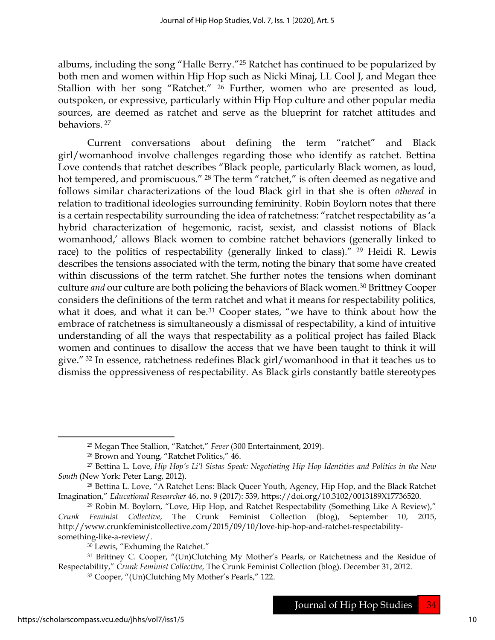albums, including the song "Halle Berry."25 Ratchet has continued to be popularized by both men and women within Hip Hop such as Nicki Minaj, LL Cool J, and Megan thee Stallion with her song "Ratchet." 26 Further, women who are presented as loud, outspoken, or expressive, particularly within Hip Hop culture and other popular media sources, are deemed as ratchet and serve as the blueprint for ratchet attitudes and behaviors.<sup>27</sup>

Current conversations about defining the term "ratchet" and Black girl/womanhood involve challenges regarding those who identify as ratchet. Bettina Love contends that ratchet describes "Black people, particularly Black women, as loud, hot tempered, and promiscuous." <sup>28</sup> The term "ratchet," is often deemed as negative and follows similar characterizations of the loud Black girl in that she is often othered in relation to traditional ideologies surrounding femininity. Robin Boylorn notes that there is a certain respectability surrounding the idea of ratchetness: "ratchet respectability as 'a hybrid characterization of hegemonic, racist, sexist, and classist notions of Black womanhood,' allows Black women to combine ratchet behaviors (generally linked to race) to the politics of respectability (generally linked to class)." 29 Heidi R. Lewis describes the tensions associated with the term, noting the binary that some have created within discussions of the term ratchet. She further notes the tensions when dominant culture and our culture are both policing the behaviors of Black women.<sup>30</sup> Brittney Cooper considers the definitions of the term ratchet and what it means for respectability politics, what it does, and what it can be.<sup>31</sup> Cooper states, "we have to think about how the embrace of ratchetness is simultaneously a dismissal of respectability, a kind of intuitive understanding of all the ways that respectability as a political project has failed Black women and continues to disallow the access that we have been taught to think it will give." 32 In essence, ratchetness redefines Black girl/womanhood in that it teaches us to dismiss the oppressiveness of respectability. As Black girls constantly battle stereotypes

<sup>&</sup>lt;sup>25</sup> Megan Thee Stallion, "Ratchet," Fever (300 Entertainment, 2019).

<sup>26</sup> Brown and Young, "Ratchet Politics," 46.

<sup>27</sup> Bettina L. Love, Hip Hop's Li'l Sistas Speak: Negotiating Hip Hop Identities and Politics in the New South (New York: Peter Lang, 2012).

<sup>&</sup>lt;sup>28</sup> Bettina L. Love, "A Ratchet Lens: Black Queer Youth, Agency, Hip Hop, and the Black Ratchet Imagination," Educational Researcher 46, no. 9 (2017): 539, https://doi.org/10.3102/0013189X17736520.

<sup>29</sup> Robin M. Boylorn, "Love, Hip Hop, and Ratchet Respectability (Something Like A Review)," Crunk Feminist Collective, The Crunk Feminist Collection (blog), September 10, 2015, http://www.crunkfeministcollective.com/2015/09/10/love-hip-hop-and-ratchet-respectabilitysomething-like-a-review/.

<sup>30</sup> Lewis, "Exhuming the Ratchet."

<sup>31</sup> Brittney C. Cooper, "(Un)Clutching My Mother's Pearls, or Ratchetness and the Residue of Respectability," Crunk Feminist Collective, The Crunk Feminist Collection (blog). December 31, 2012.

<sup>32</sup> Cooper, "(Un)Clutching My Mother's Pearls," 122.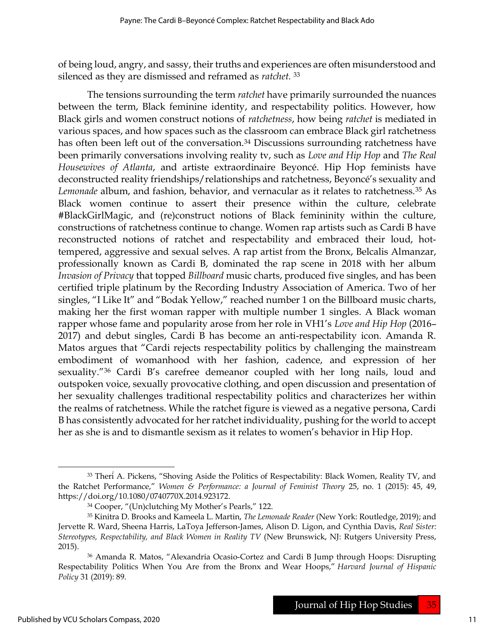of being loud, angry, and sassy, their truths and experiences are often misunderstood and silenced as they are dismissed and reframed as *ratchet*.<sup>33</sup>

The tensions surrounding the term *ratchet* have primarily surrounded the nuances between the term, Black feminine identity, and respectability politics. However, how Black girls and women construct notions of ratchetness, how being ratchet is mediated in various spaces, and how spaces such as the classroom can embrace Black girl ratchetness has often been left out of the conversation.<sup>34</sup> Discussions surrounding ratchetness have been primarily conversations involving reality tv, such as Love and Hip Hop and The Real Housewives of Atlanta, and artiste extraordinaire Beyoncé. Hip Hop feminists have deconstructed reality friendships/relationships and ratchetness, Beyoncé's sexuality and Lemonade album, and fashion, behavior, and vernacular as it relates to ratchetness.<sup>35</sup> As Black women continue to assert their presence within the culture, celebrate #BlackGirlMagic, and (re)construct notions of Black femininity within the culture, constructions of ratchetness continue to change. Women rap artists such as Cardi B have reconstructed notions of ratchet and respectability and embraced their loud, hottempered, aggressive and sexual selves. A rap artist from the Bronx, Belcalis Almanzar, professionally known as Cardi B, dominated the rap scene in 2018 with her album Invasion of Privacy that topped Billboard music charts, produced five singles, and has been certified triple platinum by the Recording Industry Association of America. Two of her singles, "I Like It" and "Bodak Yellow," reached number 1 on the Billboard music charts, making her the first woman rapper with multiple number 1 singles. A Black woman rapper whose fame and popularity arose from her role in VH1's Love and Hip Hop (2016– 2017) and debut singles, Cardi B has become an anti-respectability icon. Amanda R. Matos argues that "Cardi rejects respectability politics by challenging the mainstream embodiment of womanhood with her fashion, cadence, and expression of her sexuality."36 Cardi B's carefree demeanor coupled with her long nails, loud and outspoken voice, sexually provocative clothing, and open discussion and presentation of her sexuality challenges traditional respectability politics and characterizes her within the realms of ratchetness. While the ratchet figure is viewed as a negative persona, Cardi B has consistently advocated for her ratchet individuality, pushing for the world to accept her as she is and to dismantle sexism as it relates to women's behavior in Hip Hop.

<sup>33</sup> Theri<sup> $A$ </sup>. Pickens, "Shoving Aside the Politics of Respectability: Black Women, Reality TV, and the Ratchet Performance," Women & Performance: a Journal of Feminist Theory 25, no. 1 (2015): 45, 49, https://doi.org/10.1080/0740770X.2014.923172.

<sup>34</sup> Cooper, "(Un)clutching My Mother's Pearls," 122.

<sup>&</sup>lt;sup>35</sup> Kinitra D. Brooks and Kameela L. Martin, *The Lemonade Reader* (New York: Routledge, 2019); and Jervette R. Ward, Sheena Harris, LaToya Jefferson-James, Alison D. Ligon, and Cynthia Davis, Real Sister: Stereotypes, Respectability, and Black Women in Reality TV (New Brunswick, NJ: Rutgers University Press, 2015).

<sup>36</sup> Amanda R. Matos, "Alexandria Ocasio-Cortez and Cardi B Jump through Hoops: Disrupting Respectability Politics When You Are from the Bronx and Wear Hoops," Harvard Journal of Hispanic Policy 31 (2019): 89.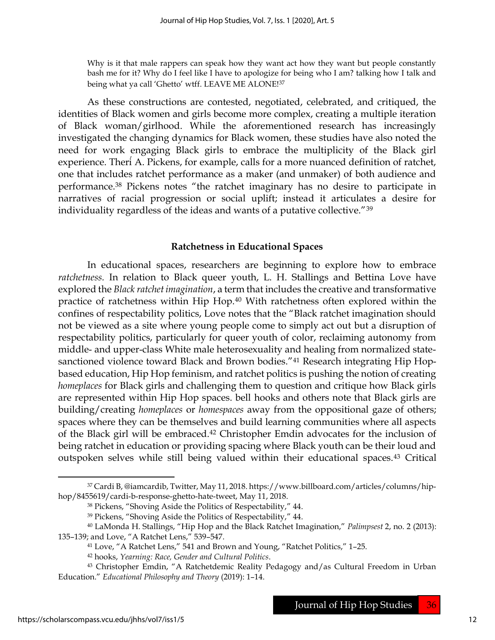Why is it that male rappers can speak how they want act how they want but people constantly bash me for it? Why do I feel like I have to apologize for being who I am? talking how I talk and being what ya call 'Ghetto' wtff. LEAVE ME ALONE!37

As these constructions are contested, negotiated, celebrated, and critiqued, the identities of Black women and girls become more complex, creating a multiple iteration of Black woman/girlhood. While the aforementioned research has increasingly investigated the changing dynamics for Black women, these studies have also noted the need for work engaging Black girls to embrace the multiplicity of the Black girl experience. Therí A. Pickens, for example, calls for a more nuanced definition of ratchet, one that includes ratchet performance as a maker (and unmaker) of both audience and performance.38 Pickens notes "the ratchet imaginary has no desire to participate in narratives of racial progression or social uplift; instead it articulates a desire for individuality regardless of the ideas and wants of a putative collective."<sup>39</sup>

#### Ratchetness in Educational Spaces

In educational spaces, researchers are beginning to explore how to embrace ratchetness. In relation to Black queer youth, L. H. Stallings and Bettina Love have explored the Black ratchet imagination, a term that includes the creative and transformative practice of ratchetness within Hip Hop.40 With ratchetness often explored within the confines of respectability politics, Love notes that the "Black ratchet imagination should not be viewed as a site where young people come to simply act out but a disruption of respectability politics, particularly for queer youth of color, reclaiming autonomy from middle- and upper-class White male heterosexuality and healing from normalized statesanctioned violence toward Black and Brown bodies."<sup>41</sup> Research integrating Hip Hopbased education, Hip Hop feminism, and ratchet politics is pushing the notion of creating homeplaces for Black girls and challenging them to question and critique how Black girls are represented within Hip Hop spaces. bell hooks and others note that Black girls are building/creating homeplaces or homespaces away from the oppositional gaze of others; spaces where they can be themselves and build learning communities where all aspects of the Black girl will be embraced.42 Christopher Emdin advocates for the inclusion of being ratchet in education or providing spacing where Black youth can be their loud and outspoken selves while still being valued within their educational spaces.43 Critical

<sup>37</sup> Cardi B, @iamcardib, Twitter, May 11, 2018. https://www.billboard.com/articles/columns/hiphop/8455619/cardi-b-response-ghetto-hate-tweet, May 11, 2018.

<sup>38</sup> Pickens, "Shoving Aside the Politics of Respectability," 44.

<sup>39</sup> Pickens, "Shoving Aside the Politics of Respectability," 44.

<sup>40</sup> LaMonda H. Stallings, "Hip Hop and the Black Ratchet Imagination," Palimpsest 2, no. 2 (2013): 135–139; and Love, "A Ratchet Lens," 539–547.

<sup>41</sup> Love, "A Ratchet Lens," 541 and Brown and Young, "Ratchet Politics," 1–25.

<sup>42</sup> hooks, Yearning: Race, Gender and Cultural Politics.

<sup>43</sup> Christopher Emdin, "A Ratchetdemic Reality Pedagogy and/as Cultural Freedom in Urban Education." Educational Philosophy and Theory (2019): 1–14.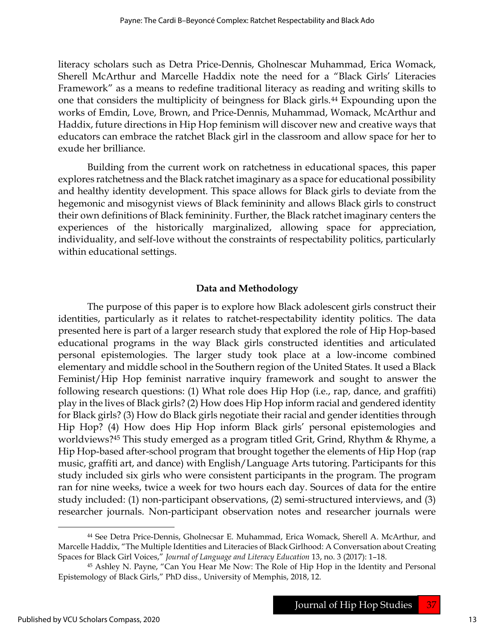literacy scholars such as Detra Price-Dennis, Gholnescar Muhammad, Erica Womack, Sherell McArthur and Marcelle Haddix note the need for a "Black Girls' Literacies Framework" as a means to redefine traditional literacy as reading and writing skills to one that considers the multiplicity of beingness for Black girls.44 Expounding upon the works of Emdin, Love, Brown, and Price-Dennis, Muhammad, Womack, McArthur and Haddix, future directions in Hip Hop feminism will discover new and creative ways that educators can embrace the ratchet Black girl in the classroom and allow space for her to exude her brilliance.

Building from the current work on ratchetness in educational spaces, this paper explores ratchetness and the Black ratchet imaginary as a space for educational possibility and healthy identity development. This space allows for Black girls to deviate from the hegemonic and misogynist views of Black femininity and allows Black girls to construct their own definitions of Black femininity. Further, the Black ratchet imaginary centers the experiences of the historically marginalized, allowing space for appreciation, individuality, and self-love without the constraints of respectability politics, particularly within educational settings.

## Data and Methodology

The purpose of this paper is to explore how Black adolescent girls construct their identities, particularly as it relates to ratchet-respectability identity politics. The data presented here is part of a larger research study that explored the role of Hip Hop-based educational programs in the way Black girls constructed identities and articulated personal epistemologies. The larger study took place at a low-income combined elementary and middle school in the Southern region of the United States. It used a Black Feminist/Hip Hop feminist narrative inquiry framework and sought to answer the following research questions: (1) What role does Hip Hop (i.e., rap, dance, and graffiti) play in the lives of Black girls? (2) How does Hip Hop inform racial and gendered identity for Black girls? (3) How do Black girls negotiate their racial and gender identities through Hip Hop? (4) How does Hip Hop inform Black girls' personal epistemologies and worldviews?45 This study emerged as a program titled Grit, Grind, Rhythm & Rhyme, a Hip Hop-based after-school program that brought together the elements of Hip Hop (rap music, graffiti art, and dance) with English/Language Arts tutoring. Participants for this study included six girls who were consistent participants in the program. The program ran for nine weeks, twice a week for two hours each day. Sources of data for the entire study included: (1) non-participant observations, (2) semi-structured interviews, and (3) researcher journals. Non-participant observation notes and researcher journals were

<sup>44</sup> See Detra Price-Dennis, Gholnecsar E. Muhammad, Erica Womack, Sherell A. McArthur, and Marcelle Haddix, "The Multiple Identities and Literacies of Black Girlhood: A Conversation about Creating Spaces for Black Girl Voices," Journal of Language and Literacy Education 13, no. 3 (2017): 1–18.

<sup>45</sup> Ashley N. Payne, "Can You Hear Me Now: The Role of Hip Hop in the Identity and Personal Epistemology of Black Girls," PhD diss., University of Memphis, 2018, 12.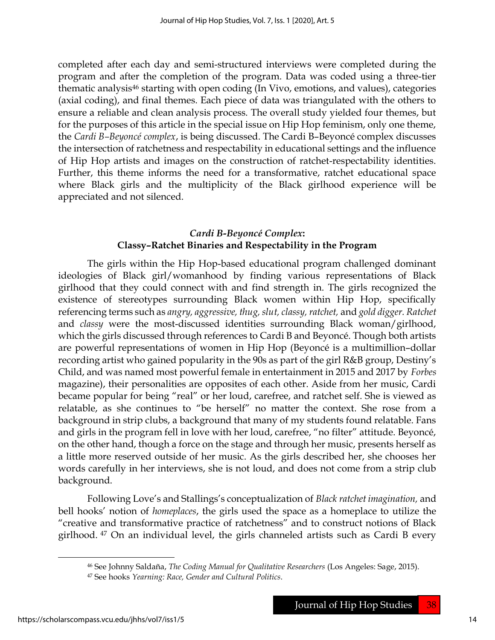completed after each day and semi-structured interviews were completed during the program and after the completion of the program. Data was coded using a three-tier thematic analysis<sup>46</sup> starting with open coding (In Vivo, emotions, and values), categories (axial coding), and final themes. Each piece of data was triangulated with the others to ensure a reliable and clean analysis process. The overall study yielded four themes, but for the purposes of this article in the special issue on Hip Hop feminism, only one theme, the Cardi B–Beyoncé complex, is being discussed. The Cardi B–Beyoncé complex discusses the intersection of ratchetness and respectability in educational settings and the influence of Hip Hop artists and images on the construction of ratchet-respectability identities. Further, this theme informs the need for a transformative, ratchet educational space where Black girls and the multiplicity of the Black girlhood experience will be appreciated and not silenced.

## Cardi B-Beyoncé Complex: Classy–Ratchet Binaries and Respectability in the Program

The girls within the Hip Hop-based educational program challenged dominant ideologies of Black girl/womanhood by finding various representations of Black girlhood that they could connect with and find strength in. The girls recognized the existence of stereotypes surrounding Black women within Hip Hop, specifically referencing terms such as angry, aggressive, thug, slut, classy, ratchet, and gold digger. Ratchet and classy were the most-discussed identities surrounding Black woman/girlhood, which the girls discussed through references to Cardi B and Beyoncé. Though both artists are powerful representations of women in Hip Hop (Beyoncé is a multimillion–dollar recording artist who gained popularity in the 90s as part of the girl R&B group, Destiny's Child, and was named most powerful female in entertainment in 2015 and 2017 by Forbes magazine), their personalities are opposites of each other. Aside from her music, Cardi became popular for being "real" or her loud, carefree, and ratchet self. She is viewed as relatable, as she continues to "be herself" no matter the context. She rose from a background in strip clubs, a background that many of my students found relatable. Fans and girls in the program fell in love with her loud, carefree, "no filter" attitude. Beyoncé, on the other hand, though a force on the stage and through her music, presents herself as a little more reserved outside of her music. As the girls described her, she chooses her words carefully in her interviews, she is not loud, and does not come from a strip club background.

Following Love's and Stallings's conceptualization of Black ratchet imagination, and bell hooks' notion of *homeplaces*, the girls used the space as a homeplace to utilize the "creative and transformative practice of ratchetness" and to construct notions of Black girlhood. 47 On an individual level, the girls channeled artists such as Cardi B every

<sup>&</sup>lt;sup>46</sup> See Johnny Saldaña, The Coding Manual for Qualitative Researchers (Los Angeles: Sage, 2015). <sup>47</sup> See hooks Yearning: Race, Gender and Cultural Politics.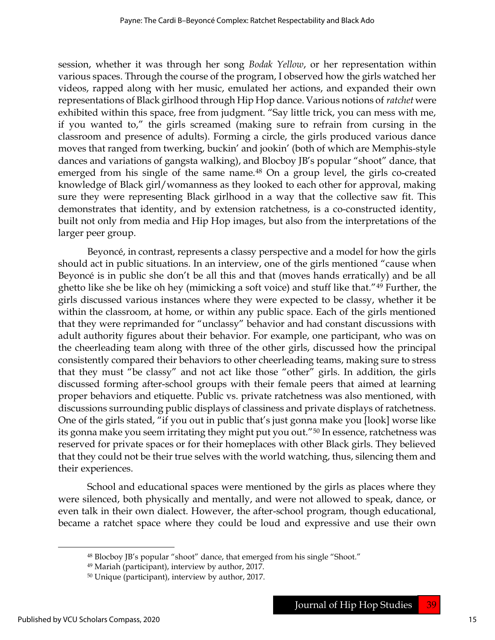session, whether it was through her song Bodak Yellow, or her representation within various spaces. Through the course of the program, I observed how the girls watched her videos, rapped along with her music, emulated her actions, and expanded their own representations of Black girlhood through Hip Hop dance. Various notions of ratchet were exhibited within this space, free from judgment. "Say little trick, you can mess with me, if you wanted to," the girls screamed (making sure to refrain from cursing in the classroom and presence of adults). Forming a circle, the girls produced various dance moves that ranged from twerking, buckin' and jookin' (both of which are Memphis-style dances and variations of gangsta walking), and Blocboy JB's popular "shoot" dance, that emerged from his single of the same name.<sup>48</sup> On a group level, the girls co-created knowledge of Black girl/womanness as they looked to each other for approval, making sure they were representing Black girlhood in a way that the collective saw fit. This demonstrates that identity, and by extension ratchetness, is a co-constructed identity, built not only from media and Hip Hop images, but also from the interpretations of the larger peer group.

Beyoncé, in contrast, represents a classy perspective and a model for how the girls should act in public situations. In an interview, one of the girls mentioned "cause when Beyoncé is in public she don't be all this and that (moves hands erratically) and be all ghetto like she be like oh hey (mimicking a soft voice) and stuff like that."49 Further, the girls discussed various instances where they were expected to be classy, whether it be within the classroom, at home, or within any public space. Each of the girls mentioned that they were reprimanded for "unclassy" behavior and had constant discussions with adult authority figures about their behavior. For example, one participant, who was on the cheerleading team along with three of the other girls, discussed how the principal consistently compared their behaviors to other cheerleading teams, making sure to stress that they must "be classy" and not act like those "other" girls. In addition, the girls discussed forming after-school groups with their female peers that aimed at learning proper behaviors and etiquette. Public vs. private ratchetness was also mentioned, with discussions surrounding public displays of classiness and private displays of ratchetness. One of the girls stated, "if you out in public that's just gonna make you [look] worse like its gonna make you seem irritating they might put you out."<sup>50</sup> In essence, ratchetness was reserved for private spaces or for their homeplaces with other Black girls. They believed that they could not be their true selves with the world watching, thus, silencing them and their experiences.

School and educational spaces were mentioned by the girls as places where they were silenced, both physically and mentally, and were not allowed to speak, dance, or even talk in their own dialect. However, the after-school program, though educational, became a ratchet space where they could be loud and expressive and use their own

<sup>48</sup> Blocboy JB's popular "shoot" dance, that emerged from his single "Shoot."

<sup>49</sup> Mariah (participant), interview by author, 2017.

<sup>50</sup> Unique (participant), interview by author, 2017.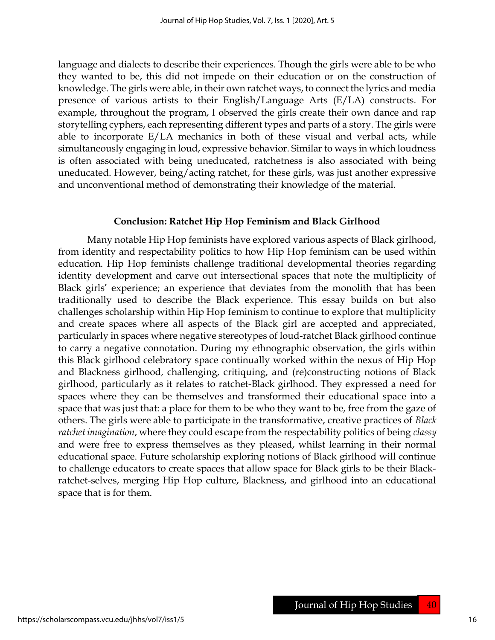language and dialects to describe their experiences. Though the girls were able to be who they wanted to be, this did not impede on their education or on the construction of knowledge. The girls were able, in their own ratchet ways, to connect the lyrics and media presence of various artists to their English/Language Arts (E/LA) constructs. For example, throughout the program, I observed the girls create their own dance and rap storytelling cyphers, each representing different types and parts of a story. The girls were able to incorporate  $E/LA$  mechanics in both of these visual and verbal acts, while simultaneously engaging in loud, expressive behavior. Similar to ways in which loudness is often associated with being uneducated, ratchetness is also associated with being uneducated. However, being/acting ratchet, for these girls, was just another expressive and unconventional method of demonstrating their knowledge of the material.

#### Conclusion: Ratchet Hip Hop Feminism and Black Girlhood

Many notable Hip Hop feminists have explored various aspects of Black girlhood, from identity and respectability politics to how Hip Hop feminism can be used within education. Hip Hop feminists challenge traditional developmental theories regarding identity development and carve out intersectional spaces that note the multiplicity of Black girls' experience; an experience that deviates from the monolith that has been traditionally used to describe the Black experience. This essay builds on but also challenges scholarship within Hip Hop feminism to continue to explore that multiplicity and create spaces where all aspects of the Black girl are accepted and appreciated, particularly in spaces where negative stereotypes of loud-ratchet Black girlhood continue to carry a negative connotation. During my ethnographic observation, the girls within this Black girlhood celebratory space continually worked within the nexus of Hip Hop and Blackness girlhood, challenging, critiquing, and (re)constructing notions of Black girlhood, particularly as it relates to ratchet-Black girlhood. They expressed a need for spaces where they can be themselves and transformed their educational space into a space that was just that: a place for them to be who they want to be, free from the gaze of others. The girls were able to participate in the transformative, creative practices of Black ratchet imagination, where they could escape from the respectability politics of being classy and were free to express themselves as they pleased, whilst learning in their normal educational space. Future scholarship exploring notions of Black girlhood will continue to challenge educators to create spaces that allow space for Black girls to be their Blackratchet-selves, merging Hip Hop culture, Blackness, and girlhood into an educational space that is for them.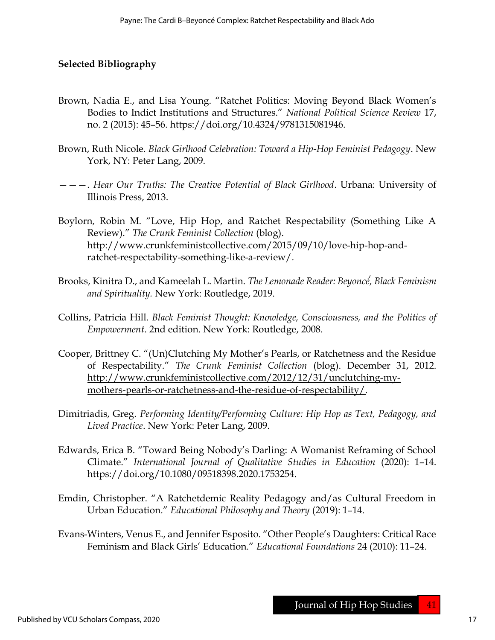#### Selected Bibliography

- Brown, Nadia E., and Lisa Young. "Ratchet Politics: Moving Beyond Black Women's Bodies to Indict Institutions and Structures." National Political Science Review 17, no. 2 (2015): 45–56. https://doi.org/10.4324/9781315081946.
- Brown, Ruth Nicole. Black Girlhood Celebration: Toward a Hip-Hop Feminist Pedagogy. New York, NY: Peter Lang, 2009.
- ———. Hear Our Truths: The Creative Potential of Black Girlhood. Urbana: University of Illinois Press, 2013.
- Boylorn, Robin M. "Love, Hip Hop, and Ratchet Respectability (Something Like A Review)." The Crunk Feminist Collection (blog). http://www.crunkfeministcollective.com/2015/09/10/love-hip-hop-andratchet-respectability-something-like-a-review/.
- Brooks, Kinitra D., and Kameelah L. Martin. The Lemonade Reader: Beyoncé́, Black Feminism and Spirituality. New York: Routledge, 2019.
- Collins, Patricia Hill. Black Feminist Thought: Knowledge, Consciousness, and the Politics of Empowerment. 2nd edition. New York: Routledge, 2008.
- Cooper, Brittney C. "(Un)Clutching My Mother's Pearls, or Ratchetness and the Residue of Respectability." The Crunk Feminist Collection (blog). December 31, 2012. http://www.crunkfeministcollective.com/2012/12/31/unclutching-mymothers-pearls-or-ratchetness-and-the-residue-of-respectability/.
- Dimitriadis, Greg. Performing Identity/Performing Culture: Hip Hop as Text, Pedagogy, and Lived Practice. New York: Peter Lang, 2009.
- Edwards, Erica B. "Toward Being Nobody's Darling: A Womanist Reframing of School Climate." International Journal of Qualitative Studies in Education (2020): 1–14. https://doi.org/10.1080/09518398.2020.1753254.
- Emdin, Christopher. "A Ratchetdemic Reality Pedagogy and/as Cultural Freedom in Urban Education." Educational Philosophy and Theory (2019): 1–14.
- Evans-Winters, Venus E., and Jennifer Esposito. "Other People's Daughters: Critical Race Feminism and Black Girls' Education." Educational Foundations 24 (2010): 11–24.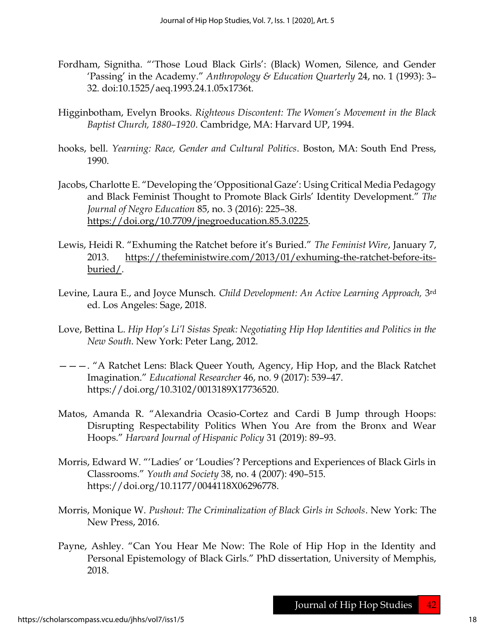- Fordham, Signitha. "'Those Loud Black Girls': (Black) Women, Silence, and Gender 'Passing' in the Academy." Anthropology & Education Quarterly 24, no. 1 (1993): 3– 32. doi:10.1525/aeq.1993.24.1.05x1736t.
- Higginbotham, Evelyn Brooks. Righteous Discontent: The Women's Movement in the Black Baptist Church, 1880–1920. Cambridge, MA: Harvard UP, 1994.
- hooks, bell. Yearning: Race, Gender and Cultural Politics. Boston, MA: South End Press, 1990.
- Jacobs, Charlotte E. "Developing the 'Oppositional Gaze': Using Critical Media Pedagogy and Black Feminist Thought to Promote Black Girls' Identity Development." The Journal of Negro Education 85, no. 3 (2016): 225–38. https://doi.org/10.7709/jnegroeducation.85.3.0225.
- Lewis, Heidi R. "Exhuming the Ratchet before it's Buried." The Feminist Wire, January 7, 2013. https://thefeministwire.com/2013/01/exhuming-the-ratchet-before-itsburied/.
- Levine, Laura E., and Joyce Munsch. *Child Development: An Active Learning Approach*, 3<sup>rd</sup> ed. Los Angeles: Sage, 2018.
- Love, Bettina L. Hip Hop's Li'l Sistas Speak: Negotiating Hip Hop Identities and Politics in the New South. New York: Peter Lang, 2012.
- ———. "A Ratchet Lens: Black Queer Youth, Agency, Hip Hop, and the Black Ratchet Imagination." Educational Researcher 46, no. 9 (2017): 539–47. https://doi.org/10.3102/0013189X17736520.
- Matos, Amanda R. "Alexandria Ocasio-Cortez and Cardi B Jump through Hoops: Disrupting Respectability Politics When You Are from the Bronx and Wear Hoops." Harvard Journal of Hispanic Policy 31 (2019): 89–93.
- Morris, Edward W. "'Ladies' or 'Loudies'? Perceptions and Experiences of Black Girls in Classrooms." Youth and Society 38, no. 4 (2007): 490–515. https://doi.org/10.1177/0044118X06296778.
- Morris, Monique W. Pushout: The Criminalization of Black Girls in Schools. New York: The New Press, 2016.
- Payne, Ashley. "Can You Hear Me Now: The Role of Hip Hop in the Identity and Personal Epistemology of Black Girls." PhD dissertation, University of Memphis, 2018.